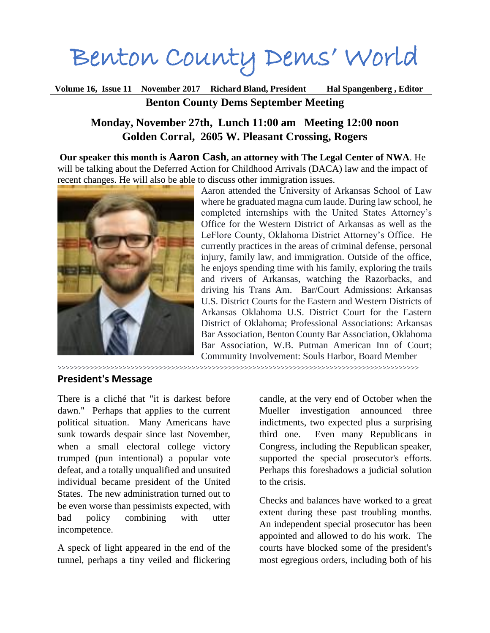# Benton County Dems' World

**Volume 16, Issue 11 November 2017 Richard Bland, President Hal Spangenberg , Editor Benton County Dems September Meeting**

## **Monday, November 27th, Lunch 11:00 am Meeting 12:00 noon Golden Corral, 2605 W. Pleasant Crossing, Rogers**

**Our speaker this month is Aaron Cash, an attorney with The Legal Center of NWA**. He will be talking about the Deferred Action for Childhood Arrivals (DACA) law and the impact of recent changes. He will also be able to discuss other immigration issues.



Aaron attended the University of Arkansas School of Law where he graduated magna cum laude. During law school, he completed internships with the United States Attorney's Office for the Western District of Arkansas as well as the LeFlore County, Oklahoma District Attorney's Office. He currently practices in the areas of criminal defense, personal injury, family law, and immigration. Outside of the office, he enjoys spending time with his family, exploring the trails and rivers of Arkansas, watching the Razorbacks, and driving his Trans Am. Bar/Court Admissions: Arkansas U.S. District Courts for the Eastern and Western Districts of Arkansas Oklahoma U.S. District Court for the Eastern District of Oklahoma; Professional Associations: Arkansas Bar Association, Benton County Bar Association, Oklahoma Bar Association, W.B. Putman American Inn of Court; Community Involvement: Souls Harbor, Board Member

>>>>>>>>>>>>>>>>>>>>>>>>>>>>>>>>>>>>>>>>>>>>>>>>>>>>>>>>>>>>>>>>>>>>>>>>>>>>>>>>>>>>>>>>>

#### **President's Message**

There is a cliché that "it is darkest before dawn." Perhaps that applies to the current political situation. Many Americans have sunk towards despair since last November, when a small electoral college victory trumped (pun intentional) a popular vote defeat, and a totally unqualified and unsuited individual became president of the United States. The new administration turned out to be even worse than pessimists expected, with bad policy combining with utter incompetence.

A speck of light appeared in the end of the tunnel, perhaps a tiny veiled and flickering

candle, at the very end of October when the Mueller investigation announced three indictments, two expected plus a surprising third one. Even many Republicans in Congress, including the Republican speaker, supported the special prosecutor's efforts. Perhaps this foreshadows a judicial solution to the crisis.

Checks and balances have worked to a great extent during these past troubling months. An independent special prosecutor has been appointed and allowed to do his work. The courts have blocked some of the president's most egregious orders, including both of his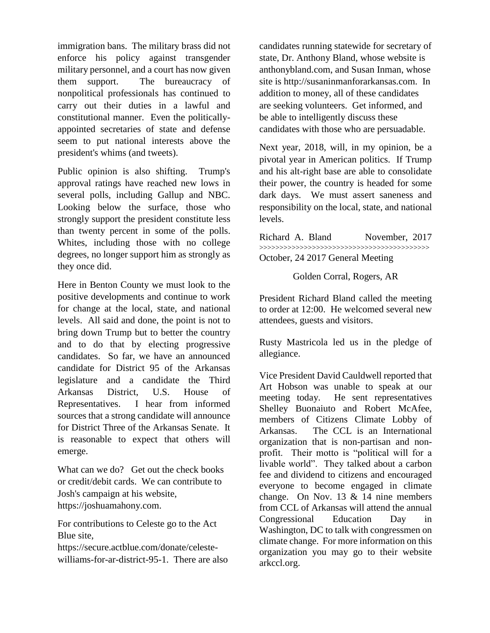immigration bans. The military brass did not enforce his policy against transgender military personnel, and a court has now given them support. The bureaucracy of nonpolitical professionals has continued to carry out their duties in a lawful and constitutional manner. Even the politicallyappointed secretaries of state and defense seem to put national interests above the president's whims (and tweets).

Public opinion is also shifting. Trump's approval ratings have reached new lows in several polls, including Gallup and NBC. Looking below the surface, those who strongly support the president constitute less than twenty percent in some of the polls. Whites, including those with no college degrees, no longer support him as strongly as they once did.

Here in Benton County we must look to the positive developments and continue to work for change at the local, state, and national levels. All said and done, the point is not to bring down Trump but to better the country and to do that by electing progressive candidates. So far, we have an announced candidate for District 95 of the Arkansas legislature and a candidate the Third Arkansas District, U.S. House of Representatives. I hear from informed sources that a strong candidate will announce for District Three of the Arkansas Senate. It is reasonable to expect that others will emerge.

What can we do? Get out the check books or credit/debit cards. We can contribute to Josh's campaign at his website, https://joshuamahony.com.

For contributions to Celeste go to the Act Blue site,

https://secure.actblue.com/donate/celestewilliams-for-ar-district-95-1. There are also candidates running statewide for secretary of state, Dr. Anthony Bland, whose website is anthonybland.com, and Susan Inman, whose site is http://susaninmanforarkansas.com. In addition to money, all of these candidates are seeking volunteers. Get informed, and be able to intelligently discuss these candidates with those who are persuadable.

Next year, 2018, will, in my opinion, be a pivotal year in American politics. If Trump and his alt-right base are able to consolidate their power, the country is headed for some dark days. We must assert saneness and responsibility on the local, state, and national levels.

Richard A. Bland November, 2017 >>>>>>>>>>>>>>>>>>>>>>>>>>>>>>>>>>>>>>>>>> October, 24 2017 General Meeting

Golden Corral, Rogers, AR

President Richard Bland called the meeting to order at 12:00. He welcomed several new attendees, guests and visitors.

Rusty Mastricola led us in the pledge of allegiance.

Vice President David Cauldwell reported that Art Hobson was unable to speak at our meeting today. He sent representatives Shelley Buonaiuto and Robert McAfee, members of Citizens Climate Lobby of Arkansas. The CCL is an International organization that is non-partisan and nonprofit. Their motto is "political will for a livable world". They talked about a carbon fee and dividend to citizens and encouraged everyone to become engaged in climate change. On Nov. 13 & 14 nine members from CCL of Arkansas will attend the annual Congressional Education Day in Washington, DC to talk with congressmen on climate change. For more information on this organization you may go to their website arkccl.org.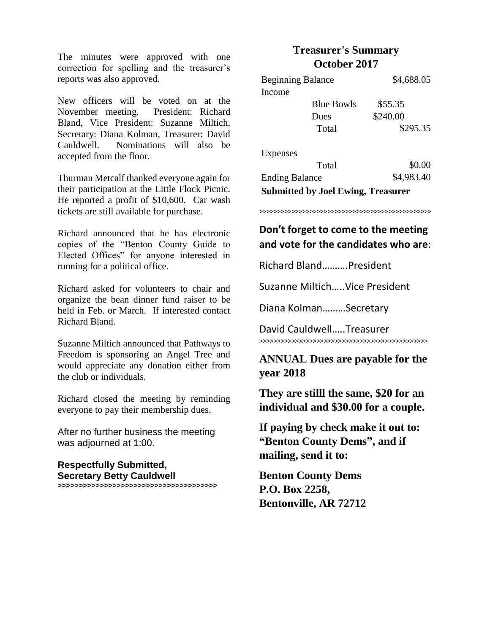The minutes were approved with one correction for spelling and the treasurer's reports was also approved.

New officers will be voted on at the November meeting. President: Richard Bland, Vice President: Suzanne Miltich, Secretary: Diana Kolman, Treasurer: David Cauldwell. Nominations will also be accepted from the floor.

Thurman Metcalf thanked everyone again for their participation at the Little Flock Picnic. He reported a profit of \$10,600. Car wash tickets are still available for purchase.

Richard announced that he has electronic copies of the "Benton County Guide to Elected Offices" for anyone interested in running for a political office.

Richard asked for volunteers to chair and organize the bean dinner fund raiser to be held in Feb. or March. If interested contact Richard Bland.

Suzanne Miltich announced that Pathways to Freedom is sponsoring an Angel Tree and would appreciate any donation either from the club or individuals.

Richard closed the meeting by reminding everyone to pay their membership dues.

After no further business the meeting was adjourned at 1:00.

**Respectfully Submitted, Secretary Betty Cauldwell >>>>>>>>>>>>>>>>>>>>>>>>>>>>>>>>>>>>>>**

# **Treasurer's Summary October 2017**

| <b>Beginning Balance</b>                  |                   | \$4,688.05 |
|-------------------------------------------|-------------------|------------|
| Income                                    |                   |            |
|                                           | <b>Blue Bowls</b> | \$55.35    |
|                                           | Dues              | \$240.00   |
|                                           | Total             | \$295.35   |
| Expenses                                  |                   |            |
|                                           | Total             | \$0.00     |
| <b>Ending Balance</b>                     |                   | \$4,983.40 |
| <b>Submitted by Joel Ewing, Treasurer</b> |                   |            |

>>>>>>>>>>>>>>>>>>>>>>>>>>>>>>>>>>>>>>>>>>>>>>>>

# **Don't forget to come to the meeting and vote for the candidates who are**:

Richard Bland……….President

Suzanne Miltich…..Vice President

Diana Kolman………Secretary

David Cauldwell…..Treasurer >>>>>>>>>>>>>>>>>>>>>>>>>>>>>>>>>>>>>>>>>>>>>>>

# **ANNUAL Dues are payable for the year 2018**

**They are stilll the same, \$20 for an individual and \$30.00 for a couple.**

**If paying by check make it out to: "Benton County Dems" , and if mailing, send it to:**

**Benton County Dems P.O. Box 2258, Bentonville, AR 72712**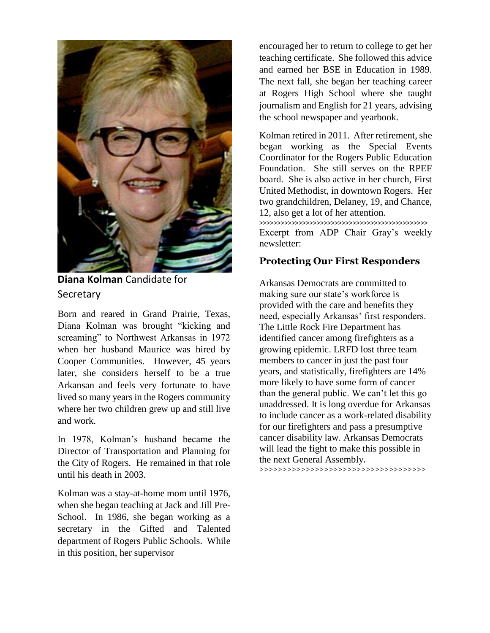

**Diana Kolman** Candidate for **Secretary** 

Born and reared in Grand Prairie, Texas, Diana Kolman was brought "kicking and screaming" to Northwest Arkansas in 1972 when her husband Maurice was hired by Cooper Communities. However, 45 years later, she considers herself to be a true Arkansan and feels very fortunate to have lived so many years in the Rogers community where her two children grew up and still live and work.

In 1978, Kolman's husband became the Director of Transportation and Planning for the City of Rogers. He remained in that role until his death in 2003.

Kolman was a stay-at-home mom until 1976, when she began teaching at Jack and Jill Pre-School. In 1986, she began working as a secretary in the Gifted and Talented department of Rogers Public Schools. While in this position, her supervisor

encouraged her to return to college to get her teaching certificate. She followed this advice and earned her BSE in Education in 1989. The next fall, she began her teaching career at Rogers High School where she taught journalism and English for 21 years, advising the school newspaper and yearbook.

Kolman retired in 2011. After retirement, she began working as the Special Events Coordinator for the Rogers Public Education Foundation. She still serves on the RPEF board. She is also active in her church, First United Methodist, in downtown Rogers. Her two grandchildren, Delaney, 19, and Chance, 12, also get a lot of her attention. >>>>>>>>>>>>>>>>>>>>>>>>>>>>>>>>>>>>>>>>>>>>>>> Excerpt from ADP Chair Gray's weekly newsletter:

### **Protecting Our First Responders**

Arkansas Democrats are committed to making sure our state's workforce is provided with the care and benefits they need, especially Arkansas' first responders. The Little Rock Fire Department has identified cancer among firefighters as a growing epidemic. LRFD lost three team members to cancer in just the past four years, and statistically, firefighters are 14% more likely to have some form of cancer than the general public. We can't let this go unaddressed. It is long overdue for Arkansas to include cancer as a work-related disability for our firefighters and pass a presumptive cancer disability law. Arkansas Democrats will lead the fight to make this possible in the next General Assembly.

>>>>>>>>>>>>>>>>>>>>>>>>>>>>>>>>>>>>